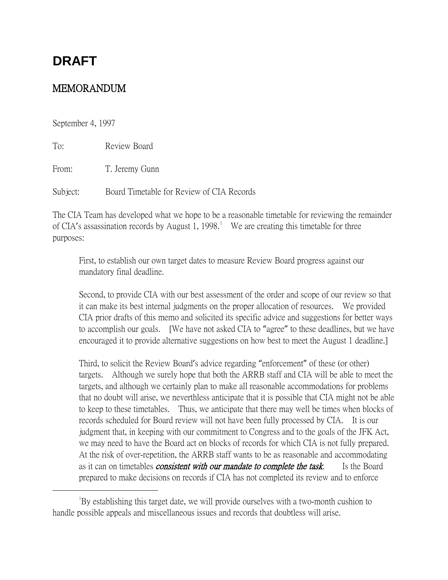# **DRAFT**

# MEMORANDUM

September 4, 1997

To: Review Board

From: T. Jeremy Gunn

Subject: Board Timetable for Review of CIA Records

The CIA Team has developed what we hope to be a reasonable timetable for reviewing the remainder of CIA's assassination records by August [1](#page-0-0), 1998.<sup>1</sup> We are creating this timetable for three purposes:

First, to establish our own target dates to measure Review Board progress against our mandatory final deadline.

Second, to provide CIA with our best assessment of the order and scope of our review so that it can make its best internal judgments on the proper allocation of resources. We provided CIA prior drafts of this memo and solicited its specific advice and suggestions for better ways to accomplish our goals. [We have not asked CIA to "agree" to these deadlines, but we have encouraged it to provide alternative suggestions on how best to meet the August 1 deadline.]

Third, to solicit the Review Board's advice regarding "enforcement" of these (or other) targets. Although we surely hope that both the ARRB staff and CIA will be able to meet the targets, and although we certainly plan to make all reasonable accommodations for problems that no doubt will arise, we neverthless anticipate that it is possible that CIA might not be able to keep to these timetables. Thus, we anticipate that there may well be times when blocks of records scheduled for Board review will not have been fully processed by CIA. It is our judgment that, in keeping with our commitment to Congress and to the goals of the JFK Act, we may need to have the Board act on blocks of records for which CIA is not fully prepared. At the risk of over-repetition, the ARRB staff wants to be as reasonable and accommodating as it can on timetables *consistent with our mandate to complete the task*. Is the Board prepared to make decisions on records if CIA has not completed its review and to enforce

<span id="page-0-0"></span> $\overline{\phantom{a}}$ By establishing this target date, we will provide ourselves with a two-month cushion to handle possible appeals and miscellaneous issues and records that doubtless will arise.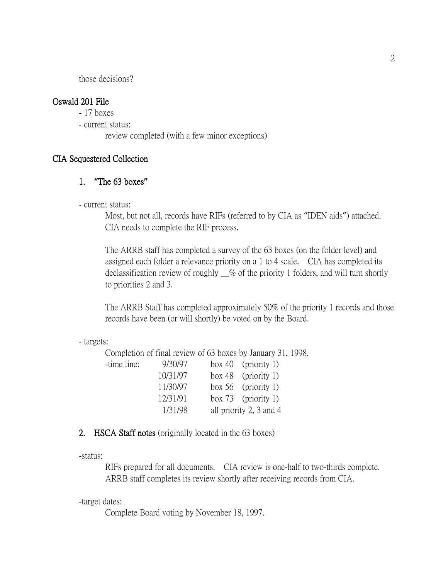those decisions?

# Oswald 201 File

- 17 boxes
- current status:
	- review completed (with a few minor exceptions)

# CIA Sequestered Collection

# 1. **"**The 63 boxes**"**

- current status:

Most, but not all, records have RIFs (referred to by CIA as "IDEN aids") attached. CIA needs to complete the RIF process.

The ARRB staff has completed a survey of the 63 boxes (on the folder level) and assigned each folder a relevance priority on a 1 to 4 scale. CIA has completed its declassification review of roughly \_\_% of the priority 1 folders, and will turn shortly to priorities 2 and 3.

The ARRB Staff has completed approximately 50% of the priority 1 records and those records have been (or will shortly) be voted on by the Board.

#### - targets:

Completion of final review of 63 boxes by January 31, 1998.

| 9/30/97  | box 40 (priority 1)     |
|----------|-------------------------|
| 10/31/97 | box 48 (priority 1)     |
| 11/30/97 | box 56 (priority 1)     |
| 12/31/91 | box 73 (priority 1)     |
| 1/31/98  | all priority 2, 3 and 4 |
|          |                         |

# 2. HSCA Staff notes (originally located in the 63 boxes)

-status:

RIFs prepared for all documents. CIA review is one-half to two-thirds complete. ARRB staff completes its review shortly after receiving records from CIA.

-target dates:

Complete Board voting by November 18, 1997.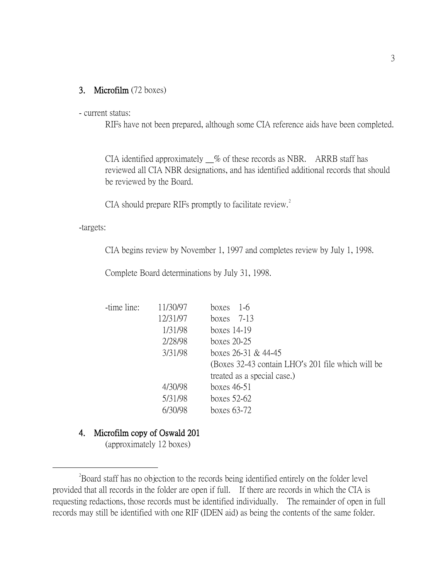#### 3. Microfilm (72 boxes)

#### - current status:

RIFs have not been prepared, although some CIA reference aids have been completed.

CIA identified approximately \_\_% of these records as NBR. ARRB staff has reviewed all CIA NBR designations, and has identified additional records that should be reviewed by the Board.

CIA should prepare RIFs promptly to facilitate review.<sup>[2](#page-2-0)</sup>

-targets:

CIA begins review by November 1, 1997 and completes review by July 1, 1998.

Complete Board determinations by July 31, 1998.

| -time line: | 11/30/97 | $1-6$<br>boxes                                    |
|-------------|----------|---------------------------------------------------|
|             | 12/31/97 | boxes $7-13$                                      |
|             | 1/31/98  | boxes $14-19$                                     |
|             | 2/28/98  | boxes $20-25$                                     |
|             | 3/31/98  | boxes $26-31$ & $44-45$                           |
|             |          | (Boxes 32-43 contain LHO's 201 file which will be |
|             |          | treated as a special case.)                       |
|             | 4/30/98  | boxes $46-51$                                     |
|             | 5/31/98  | boxes $52-62$                                     |
|             | 6/30/98  | boxes $63-72$                                     |

#### 4. Microfilm copy of Oswald 201

(approximately 12 boxes)

<span id="page-2-0"></span> $\overline{\phantom{a}}$   $\overline{\phantom{a}}$   $\overline{\phantom{a}}$   $\overline{\phantom{a}}$ <sup>2</sup>Board staff has no objection to the records being identified entirely on the folder level provided that all records in the folder are open if full. If there are records in which the CIA is requesting redactions, those records must be identified individually. The remainder of open in full records may still be identified with one RIF (IDEN aid) as being the contents of the same folder.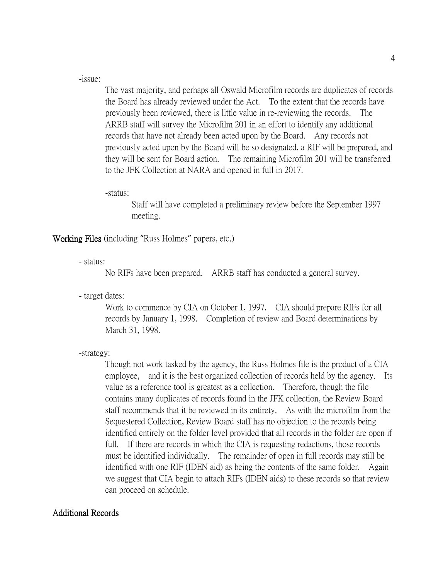-issue:

The vast majority, and perhaps all Oswald Microfilm records are duplicates of records the Board has already reviewed under the Act. To the extent that the records have previously been reviewed, there is little value in re-reviewing the records. The ARRB staff will survey the Microfilm 201 in an effort to identify any additional records that have not already been acted upon by the Board. Any records not previously acted upon by the Board will be so designated, a RIF will be prepared, and they will be sent for Board action. The remaining Microfilm 201 will be transferred to the JFK Collection at NARA and opened in full in 2017.

-status:

Staff will have completed a preliminary review before the September 1997 meeting.

Working Files (including "Russ Holmes" papers, etc.)

- status:

No RIFs have been prepared. ARRB staff has conducted a general survey.

- target dates:

Work to commence by CIA on October 1, 1997. CIA should prepare RIFs for all records by January 1, 1998. Completion of review and Board determinations by March 31, 1998.

-strategy:

Though not work tasked by the agency, the Russ Holmes file is the product of a CIA employee, and it is the best organized collection of records held by the agency. Its value as a reference tool is greatest as a collection. Therefore, though the file contains many duplicates of records found in the JFK collection, the Review Board staff recommends that it be reviewed in its entirety. As with the microfilm from the Sequestered Collection, Review Board staff has no objection to the records being identified entirely on the folder level provided that all records in the folder are open if full. If there are records in which the CIA is requesting redactions, those records must be identified individually. The remainder of open in full records may still be identified with one RIF (IDEN aid) as being the contents of the same folder. Again we suggest that CIA begin to attach RIFs (IDEN aids) to these records so that review can proceed on schedule.

# Additional Records